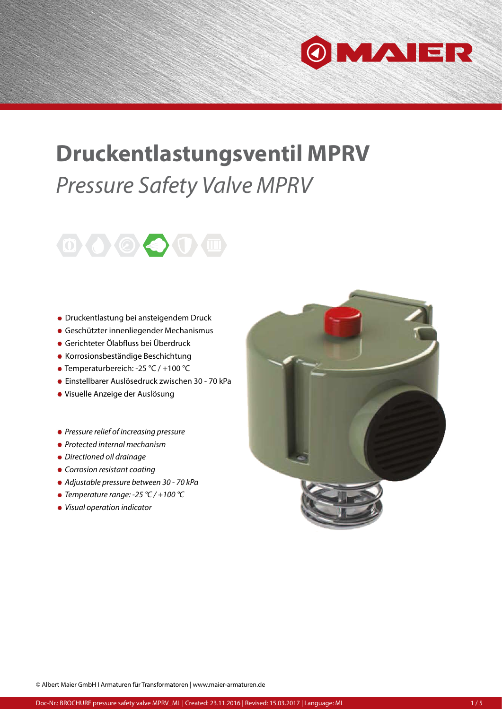

## **Druckentlastungsventil MPRV**  *Pressure Safety Valve MPRV*



- Druckentlastung bei ansteigendem Druck
- Geschützter innenliegender Mechanismus
- Gerichteter Ölabfluss bei Überdruck
- Korrosionsbeständige Beschichtung
- Temperaturbereich: -25 °C / +100 °C
- Einstellbarer Auslösedruck zwischen 30 70 kPa
- Visuelle Anzeige der Auslösung
- *Pressure relief of increasing pressure*
- *Protected internal mechanism*
- *Directioned oil drainage*
- *Corrosion resistant coating*
- *Adjustable pressure between 30 70 kPa*
- *Temperature range: -25 °C / +100 °C*
- *Visual operation indicator*

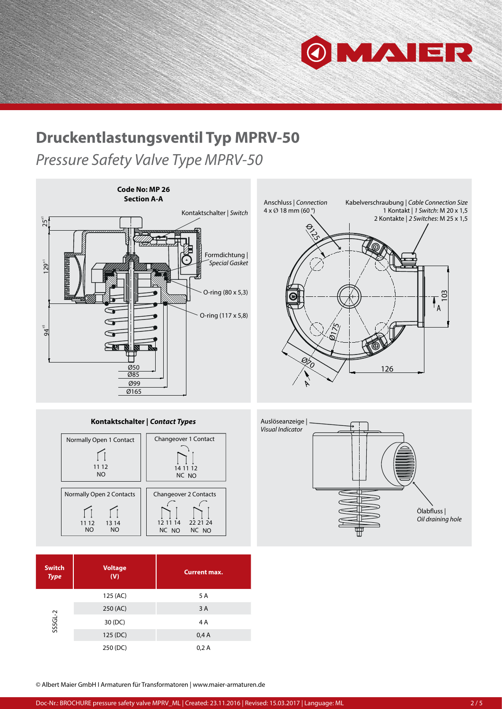

## **Druckentlastungsventil Typ MPRV-50**

*Pressure Safety Valve Type MPRV-50*







| <b>Switch</b><br><b>Type</b> | <b>Voltage</b><br>(V) | <b>Current max.</b> |
|------------------------------|-----------------------|---------------------|
| $SSGL-2$                     | 125 (AC)              | 5 A                 |
|                              | 250 (AC)              | 3A                  |
|                              | 30 (DC)               | 4 A                 |
|                              | 125 (DC)              | 0,4A                |
|                              | 250 (DC)              | 0,2A                |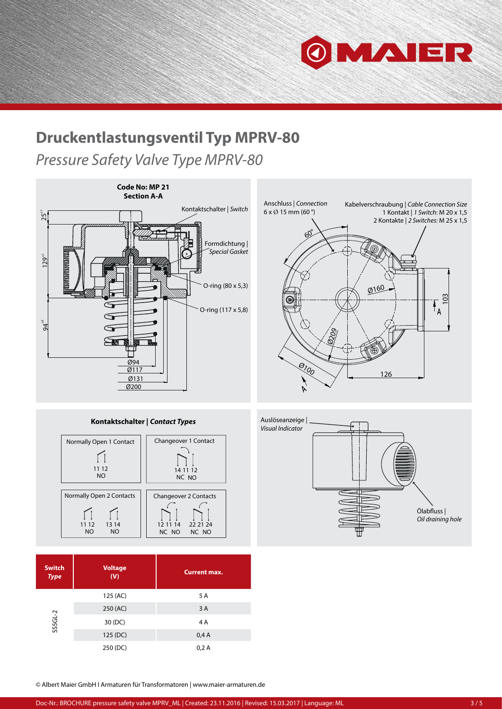

103

## **Druckentlastungsventil Typ MPRV-80**

*Pressure Safety Valve Type MPRV-80*



**Kontaktschalter |** *Contact Types*



| <b>Switch</b><br><b>Type</b> | <b>Voltage</b><br>(V) | <b>Current max.</b> |
|------------------------------|-----------------------|---------------------|
| $SSGL-2$                     | 125 (AC)              | 5 A                 |
|                              | 250 (AC)              | 3A                  |
|                              | 30 (DC)               | 4A                  |
|                              | 125 (DC)              | 0,4A                |
|                              | 250 (DC)              | 0,2A                |

Auslöseanzeige | *Visual Indicator* Ölabfluss | *Oil draining hole*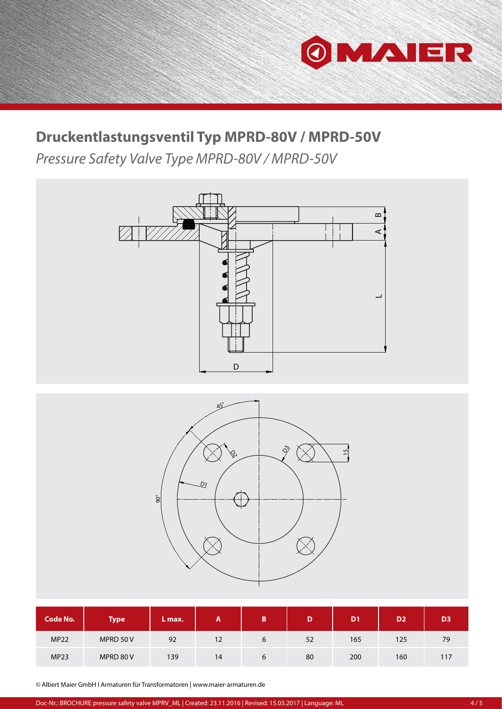

## **Druckentlastungsventil Typ MPRD-80V / MPRD-50V**

*Pressure Safety Valve Type MPRD-80V / MPRD-50V*



| <b>Code No.</b> | <b>Type</b> | /L max. | A  | B | D  | D <sub>1</sub> | D <sub>2</sub> | D <sub>3</sub> |
|-----------------|-------------|---------|----|---|----|----------------|----------------|----------------|
| <b>MP22</b>     | MPRD 50 V   | 92      | 12 | 6 | 52 | 165            | 125            | 79             |
| <b>MP23</b>     | MPRD 80 V   | 139     | 14 | b | 80 | 200            | 160            | 117            |